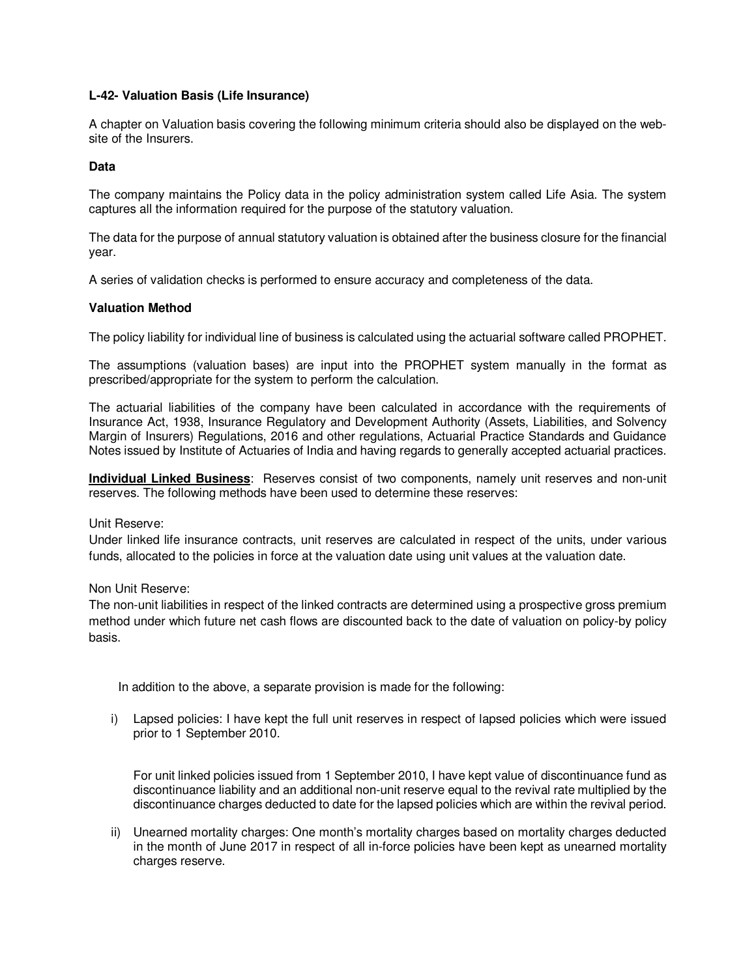# **L-42- Valuation Basis (Life Insurance)**

A chapter on Valuation basis covering the following minimum criteria should also be displayed on the website of the Insurers.

### **Data**

The company maintains the Policy data in the policy administration system called Life Asia. The system captures all the information required for the purpose of the statutory valuation.

The data for the purpose of annual statutory valuation is obtained after the business closure for the financial year.

A series of validation checks is performed to ensure accuracy and completeness of the data.

### **Valuation Method**

The policy liability for individual line of business is calculated using the actuarial software called PROPHET.

The assumptions (valuation bases) are input into the PROPHET system manually in the format as prescribed/appropriate for the system to perform the calculation.

The actuarial liabilities of the company have been calculated in accordance with the requirements of Insurance Act, 1938, Insurance Regulatory and Development Authority (Assets, Liabilities, and Solvency Margin of Insurers) Regulations, 2016 and other regulations, Actuarial Practice Standards and Guidance Notes issued by Institute of Actuaries of India and having regards to generally accepted actuarial practices.

**Individual Linked Business**: Reserves consist of two components, namely unit reserves and non-unit reserves. The following methods have been used to determine these reserves:

Unit Reserve:

Under linked life insurance contracts, unit reserves are calculated in respect of the units, under various funds, allocated to the policies in force at the valuation date using unit values at the valuation date.

Non Unit Reserve:

The non-unit liabilities in respect of the linked contracts are determined using a prospective gross premium method under which future net cash flows are discounted back to the date of valuation on policy-by policy basis.

In addition to the above, a separate provision is made for the following:

i) Lapsed policies: I have kept the full unit reserves in respect of lapsed policies which were issued prior to 1 September 2010.

For unit linked policies issued from 1 September 2010, I have kept value of discontinuance fund as discontinuance liability and an additional non-unit reserve equal to the revival rate multiplied by the discontinuance charges deducted to date for the lapsed policies which are within the revival period.

ii) Unearned mortality charges: One month's mortality charges based on mortality charges deducted in the month of June 2017 in respect of all in-force policies have been kept as unearned mortality charges reserve.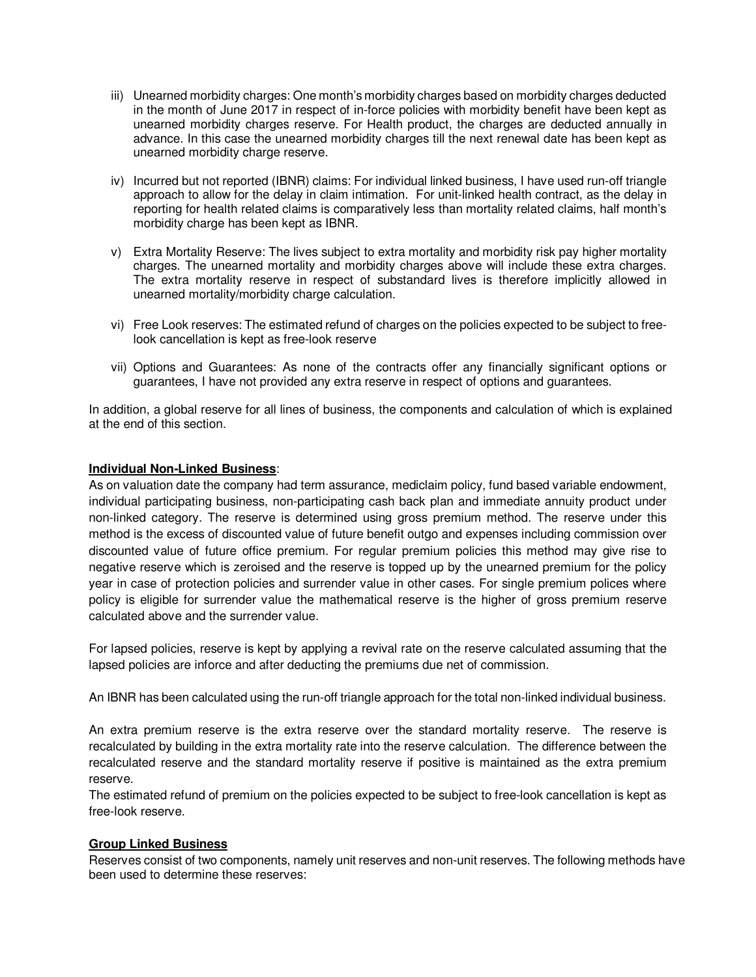- iii) Unearned morbidity charges: One month's morbidity charges based on morbidity charges deducted in the month of June 2017 in respect of in-force policies with morbidity benefit have been kept as unearned morbidity charges reserve. For Health product, the charges are deducted annually in advance. In this case the unearned morbidity charges till the next renewal date has been kept as unearned morbidity charge reserve.
- iv) Incurred but not reported (IBNR) claims: For individual linked business, I have used run-off triangle approach to allow for the delay in claim intimation. For unit-linked health contract, as the delay in reporting for health related claims is comparatively less than mortality related claims, half month's morbidity charge has been kept as IBNR.
- v) Extra Mortality Reserve: The lives subject to extra mortality and morbidity risk pay higher mortality charges. The unearned mortality and morbidity charges above will include these extra charges. The extra mortality reserve in respect of substandard lives is therefore implicitly allowed in unearned mortality/morbidity charge calculation.
- vi) Free Look reserves: The estimated refund of charges on the policies expected to be subject to freelook cancellation is kept as free-look reserve
- vii) Options and Guarantees: As none of the contracts offer any financially significant options or guarantees, I have not provided any extra reserve in respect of options and guarantees.

In addition, a global reserve for all lines of business, the components and calculation of which is explained at the end of this section.

### **Individual Non-Linked Business**:

As on valuation date the company had term assurance, mediclaim policy, fund based variable endowment, individual participating business, non-participating cash back plan and immediate annuity product under non-linked category. The reserve is determined using gross premium method. The reserve under this method is the excess of discounted value of future benefit outgo and expenses including commission over discounted value of future office premium. For regular premium policies this method may give rise to negative reserve which is zeroised and the reserve is topped up by the unearned premium for the policy year in case of protection policies and surrender value in other cases. For single premium polices where policy is eligible for surrender value the mathematical reserve is the higher of gross premium reserve calculated above and the surrender value.

For lapsed policies, reserve is kept by applying a revival rate on the reserve calculated assuming that the lapsed policies are inforce and after deducting the premiums due net of commission.

An IBNR has been calculated using the run-off triangle approach for the total non-linked individual business.

An extra premium reserve is the extra reserve over the standard mortality reserve. The reserve is recalculated by building in the extra mortality rate into the reserve calculation. The difference between the recalculated reserve and the standard mortality reserve if positive is maintained as the extra premium reserve.

The estimated refund of premium on the policies expected to be subject to free-look cancellation is kept as free-look reserve.

# **Group Linked Business**

Reserves consist of two components, namely unit reserves and non-unit reserves. The following methods have been used to determine these reserves: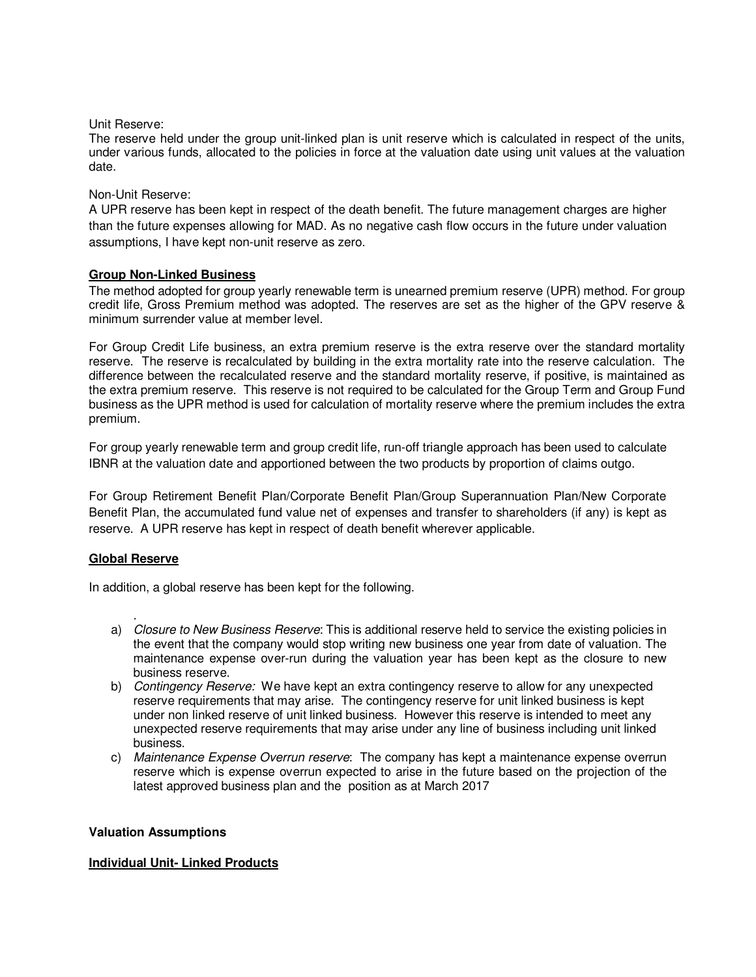Unit Reserve:

The reserve held under the group unit-linked plan is unit reserve which is calculated in respect of the units, under various funds, allocated to the policies in force at the valuation date using unit values at the valuation date.

## Non-Unit Reserve:

A UPR reserve has been kept in respect of the death benefit. The future management charges are higher than the future expenses allowing for MAD. As no negative cash flow occurs in the future under valuation assumptions, I have kept non-unit reserve as zero.

### **Group Non-Linked Business**

The method adopted for group yearly renewable term is unearned premium reserve (UPR) method. For group credit life, Gross Premium method was adopted. The reserves are set as the higher of the GPV reserve & minimum surrender value at member level.

For Group Credit Life business, an extra premium reserve is the extra reserve over the standard mortality reserve. The reserve is recalculated by building in the extra mortality rate into the reserve calculation. The difference between the recalculated reserve and the standard mortality reserve, if positive, is maintained as the extra premium reserve. This reserve is not required to be calculated for the Group Term and Group Fund business as the UPR method is used for calculation of mortality reserve where the premium includes the extra premium.

For group yearly renewable term and group credit life, run-off triangle approach has been used to calculate IBNR at the valuation date and apportioned between the two products by proportion of claims outgo.

For Group Retirement Benefit Plan/Corporate Benefit Plan/Group Superannuation Plan/New Corporate Benefit Plan, the accumulated fund value net of expenses and transfer to shareholders (if any) is kept as reserve. A UPR reserve has kept in respect of death benefit wherever applicable.

#### **Global Reserve**

In addition, a global reserve has been kept for the following.

- . a) Closure to New Business Reserve: This is additional reserve held to service the existing policies in the event that the company would stop writing new business one year from date of valuation. The maintenance expense over-run during the valuation year has been kept as the closure to new business reserve.
- b) Contingency Reserve: We have kept an extra contingency reserve to allow for any unexpected reserve requirements that may arise. The contingency reserve for unit linked business is kept under non linked reserve of unit linked business. However this reserve is intended to meet any unexpected reserve requirements that may arise under any line of business including unit linked business.
- c) Maintenance Expense Overrun reserve: The company has kept a maintenance expense overrun reserve which is expense overrun expected to arise in the future based on the projection of the latest approved business plan and the position as at March 2017

#### **Valuation Assumptions**

# **Individual Unit- Linked Products**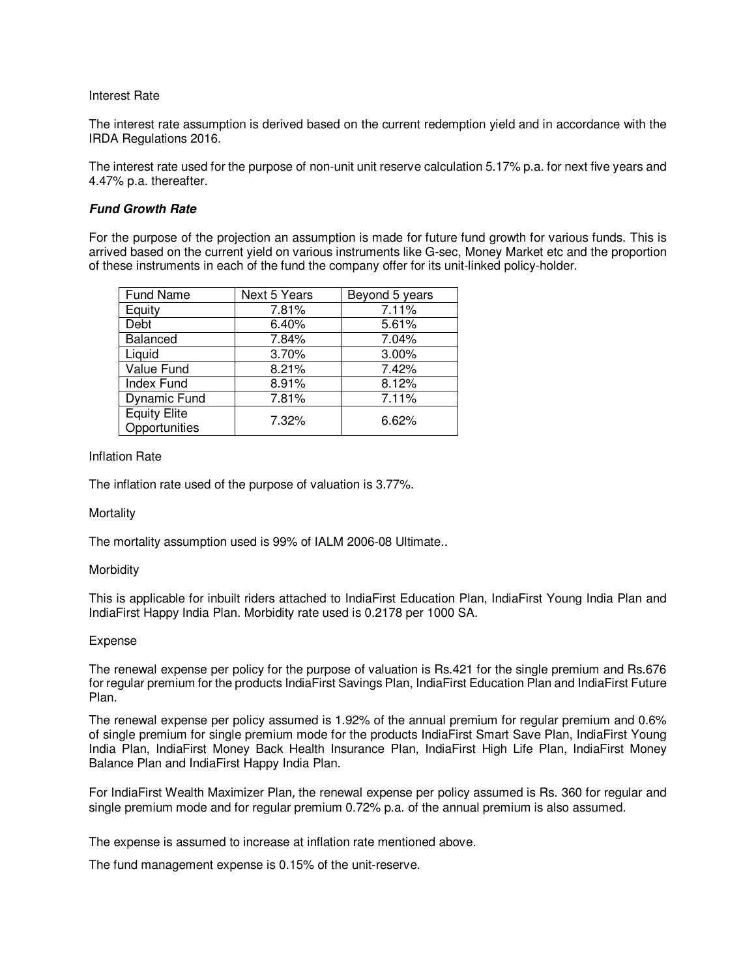#### Interest Rate

The interest rate assumption is derived based on the current redemption yield and in accordance with the IRDA Regulations 2016.

The interest rate used for the purpose of non-unit unit reserve calculation 5.17% p.a. for next five years and 4.47% p.a. thereafter.

### **Fund Growth Rate**

For the purpose of the projection an assumption is made for future fund growth for various funds. This is arrived based on the current yield on various instruments like G-sec, Money Market etc and the proportion of these instruments in each of the fund the company offer for its unit-linked policy-holder.

| Fund Name                            | Next 5 Years | Beyond 5 years |
|--------------------------------------|--------------|----------------|
| Equity                               | 7.81%        | 7.11%          |
| Debt                                 | 6.40%        | 5.61%          |
| Balanced                             | 7.84%        | 7.04%          |
| Liquid                               | 3.70%        | 3.00%          |
| Value Fund                           | 8.21%        | 7.42%          |
| Index Fund                           | 8.91%        | 8.12%          |
| <b>Dynamic Fund</b>                  | 7.81%        | 7.11%          |
| <b>Equity Elite</b><br>Opportunities | 7.32%        | 6.62%          |

### Inflation Rate

The inflation rate used of the purpose of valuation is 3.77%.

#### **Mortality**

The mortality assumption used is 99% of IALM 2006-08 Ultimate..

#### **Morbidity**

This is applicable for inbuilt riders attached to IndiaFirst Education Plan, IndiaFirst Young India Plan and IndiaFirst Happy India Plan. Morbidity rate used is 0.2178 per 1000 SA.

#### Expense

The renewal expense per policy for the purpose of valuation is Rs.421 for the single premium and Rs.676 for regular premium for the products IndiaFirst Savings Plan, IndiaFirst Education Plan and IndiaFirst Future Plan.

The renewal expense per policy assumed is 1.92% of the annual premium for regular premium and 0.6% of single premium for single premium mode for the products IndiaFirst Smart Save Plan, IndiaFirst Young India Plan, IndiaFirst Money Back Health Insurance Plan, IndiaFirst High Life Plan, IndiaFirst Money Balance Plan and IndiaFirst Happy India Plan.

For IndiaFirst Wealth Maximizer Plan, the renewal expense per policy assumed is Rs. 360 for regular and single premium mode and for regular premium 0.72% p.a. of the annual premium is also assumed.

The expense is assumed to increase at inflation rate mentioned above.

The fund management expense is 0.15% of the unit-reserve.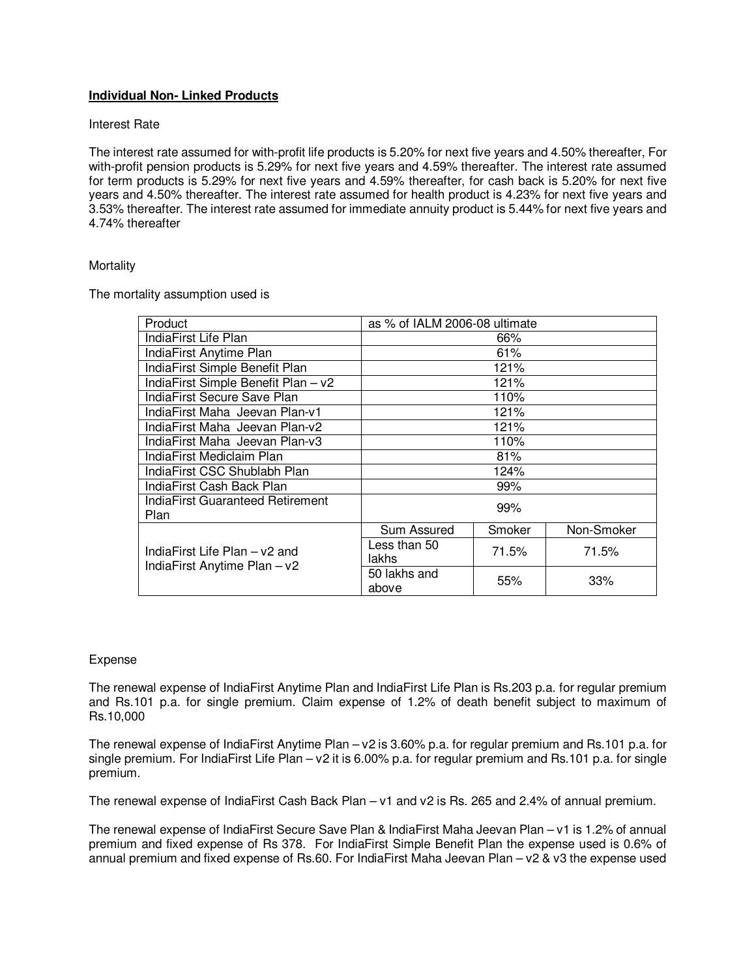# **Individual Non- Linked Products**

#### Interest Rate

The interest rate assumed for with-profit life products is 5.20% for next five years and 4.50% thereafter, For with-profit pension products is 5.29% for next five years and 4.59% thereafter. The interest rate assumed for term products is 5.29% for next five years and 4.59% thereafter, for cash back is 5.20% for next five years and 4.50% thereafter. The interest rate assumed for health product is 4.23% for next five years and 3.53% thereafter. The interest rate assumed for immediate annuity product is 5.44% for next five years and 4.74% thereafter

#### **Mortality**

The mortality assumption used is

| Product                                                       | as % of IALM 2006-08 ultimate |        |            |
|---------------------------------------------------------------|-------------------------------|--------|------------|
| IndiaFirst Life Plan                                          |                               | 66%    |            |
| IndiaFirst Anytime Plan                                       |                               | 61%    |            |
| IndiaFirst Simple Benefit Plan                                | 121%                          |        |            |
| IndiaFirst Simple Benefit Plan - v2                           | 121%                          |        |            |
| IndiaFirst Secure Save Plan                                   |                               | 110%   |            |
| IndiaFirst Maha Jeevan Plan-v1                                | 121%                          |        |            |
| IndiaFirst Maha Jeevan Plan-v2                                | 121%                          |        |            |
| IndiaFirst Maha Jeevan Plan-v3                                | 110%                          |        |            |
| IndiaFirst Mediclaim Plan                                     | 81%                           |        |            |
| IndiaFirst CSC Shublabh Plan                                  | 124%                          |        |            |
| IndiaFirst Cash Back Plan                                     | 99%                           |        |            |
| IndiaFirst Guaranteed Retirement<br>Plan                      | 99%                           |        |            |
| IndiaFirst Life Plan – v2 and<br>IndiaFirst Anytime Plan - v2 | Sum Assured                   | Smoker | Non-Smoker |
|                                                               | Less than 50<br>lakhs         | 71.5%  | 71.5%      |
|                                                               | 50 lakhs and<br>above         | 55%    | 33%        |

#### Expense

The renewal expense of IndiaFirst Anytime Plan and IndiaFirst Life Plan is Rs.203 p.a. for regular premium and Rs.101 p.a. for single premium. Claim expense of 1.2% of death benefit subject to maximum of Rs.10,000

The renewal expense of IndiaFirst Anytime Plan – v2 is 3.60% p.a. for regular premium and Rs.101 p.a. for single premium. For IndiaFirst Life Plan – v2 it is 6.00% p.a. for regular premium and Rs.101 p.a. for single premium.

The renewal expense of IndiaFirst Cash Back Plan – v1 and v2 is Rs. 265 and 2.4% of annual premium.

The renewal expense of IndiaFirst Secure Save Plan & IndiaFirst Maha Jeevan Plan – v1 is 1.2% of annual premium and fixed expense of Rs 378. For IndiaFirst Simple Benefit Plan the expense used is 0.6% of annual premium and fixed expense of Rs.60. For IndiaFirst Maha Jeevan Plan – v2 & v3 the expense used